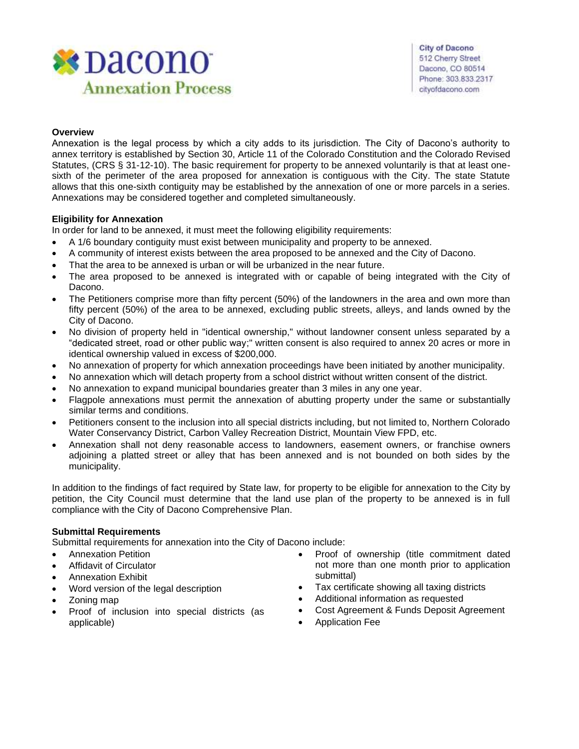

# **Overview**

Annexation is the legal process by which a city adds to its jurisdiction. The City of Dacono's authority to annex territory is established by Section 30, Article 11 of the Colorado Constitution and the Colorado Revised Statutes, (CRS § 31-12-10). The basic requirement for property to be annexed voluntarily is that at least onesixth of the perimeter of the area proposed for annexation is contiguous with the City. The state Statute allows that this one-sixth contiguity may be established by the annexation of one or more parcels in a series. Annexations may be considered together and completed simultaneously.

# **Eligibility for Annexation**

In order for land to be annexed, it must meet the following eligibility requirements:

- A 1/6 boundary contiguity must exist between municipality and property to be annexed.
- A community of interest exists between the area proposed to be annexed and the City of Dacono.
- That the area to be annexed is urban or will be urbanized in the near future.
- The area proposed to be annexed is integrated with or capable of being integrated with the City of Dacono.
- The Petitioners comprise more than fifty percent (50%) of the landowners in the area and own more than fifty percent (50%) of the area to be annexed, excluding public streets, alleys, and lands owned by the City of Dacono.
- No division of property held in "identical ownership," without landowner consent unless separated by a "dedicated street, road or other public way;" written consent is also required to annex 20 acres or more in identical ownership valued in excess of \$200,000.
- No annexation of property for which annexation proceedings have been initiated by another municipality.
- No annexation which will detach property from a school district without written consent of the district.
- No annexation to expand municipal boundaries greater than 3 miles in any one year.
- Flagpole annexations must permit the annexation of abutting property under the same or substantially similar terms and conditions.
- Petitioners consent to the inclusion into all special districts including, but not limited to, Northern Colorado Water Conservancy District, Carbon Valley Recreation District, Mountain View FPD, etc.
- Annexation shall not deny reasonable access to landowners, easement owners, or franchise owners adjoining a platted street or alley that has been annexed and is not bounded on both sides by the municipality.

In addition to the findings of fact required by State law, for property to be eligible for annexation to the City by petition, the City Council must determine that the land use plan of the property to be annexed is in full compliance with the City of Dacono Comprehensive Plan.

## **Submittal Requirements**

Submittal requirements for annexation into the City of Dacono include:

- Annexation Petition
- Affidavit of Circulator
- Annexation Exhibit
- Word version of the legal description
- Zoning map
- Proof of inclusion into special districts (as applicable)
- Proof of ownership (title commitment dated not more than one month prior to application submittal)
- Tax certificate showing all taxing districts
- Additional information as requested
- Cost Agreement & Funds Deposit Agreement
- Application Fee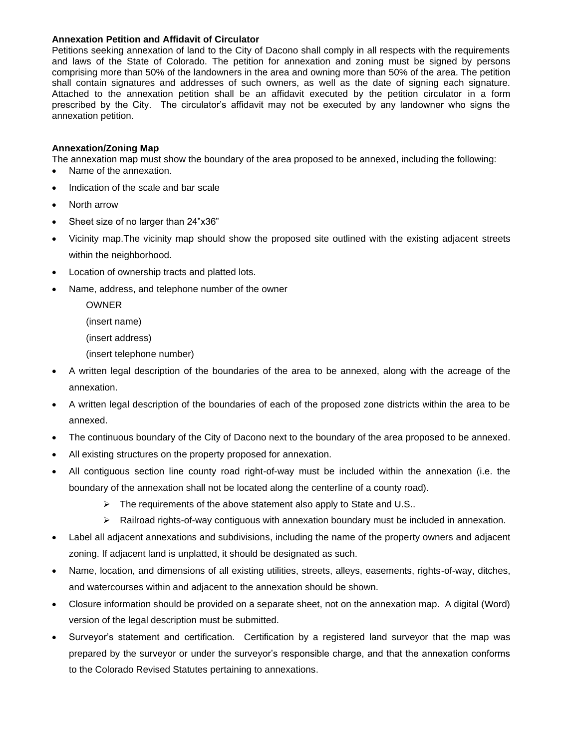## **Annexation Petition and Affidavit of Circulator**

Petitions seeking annexation of land to the City of Dacono shall comply in all respects with the requirements and laws of the State of Colorado. The petition for annexation and zoning must be signed by persons comprising more than 50% of the landowners in the area and owning more than 50% of the area. The petition shall contain signatures and addresses of such owners, as well as the date of signing each signature. Attached to the annexation petition shall be an affidavit executed by the petition circulator in a form prescribed by the City. The circulator's affidavit may not be executed by any landowner who signs the annexation petition.

# **Annexation/Zoning Map**

The annexation map must show the boundary of the area proposed to be annexed, including the following:

- Name of the annexation.
- Indication of the scale and bar scale
- North arrow
- Sheet size of no larger than 24"x36"
- Vicinity map.The vicinity map should show the proposed site outlined with the existing adjacent streets within the neighborhood.
- Location of ownership tracts and platted lots.
- Name, address, and telephone number of the owner
	- OWNER
	- (insert name)
	- (insert address)
	- (insert telephone number)
- A written legal description of the boundaries of the area to be annexed, along with the acreage of the annexation.
- A written legal description of the boundaries of each of the proposed zone districts within the area to be annexed.
- The continuous boundary of the City of Dacono next to the boundary of the area proposed to be annexed.
- All existing structures on the property proposed for annexation.
- All contiguous section line county road right-of-way must be included within the annexation (i.e. the boundary of the annexation shall not be located along the centerline of a county road).
	- ➢ The requirements of the above statement also apply to State and U.S..
	- $\triangleright$  Railroad rights-of-way contiguous with annexation boundary must be included in annexation.
- Label all adjacent annexations and subdivisions, including the name of the property owners and adjacent zoning. If adjacent land is unplatted, it should be designated as such.
- Name, location, and dimensions of all existing utilities, streets, alleys, easements, rights-of-way, ditches, and watercourses within and adjacent to the annexation should be shown.
- Closure information should be provided on a separate sheet, not on the annexation map. A digital (Word) version of the legal description must be submitted.
- Surveyor's statement and certification. Certification by a registered land surveyor that the map was prepared by the surveyor or under the surveyor's responsible charge, and that the annexation conforms to the Colorado Revised Statutes pertaining to annexations.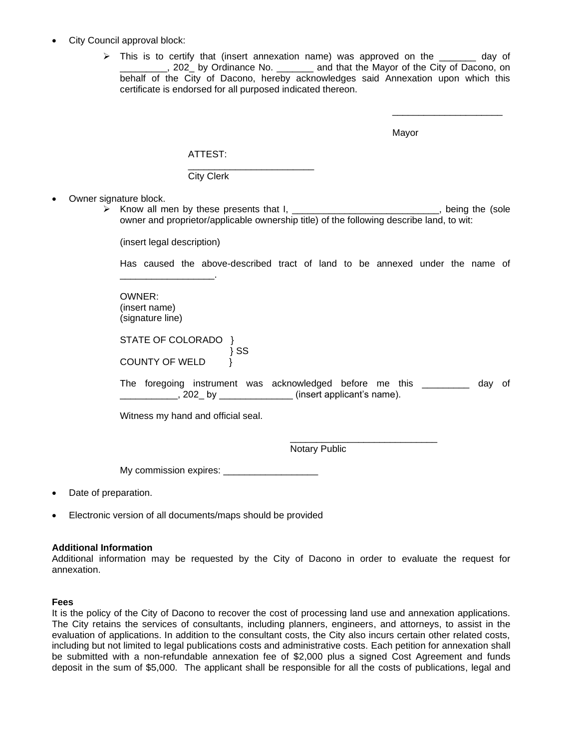- City Council approval block:
	- $\triangleright$  This is to certify that (insert annexation name) was approved on the \_\_\_\_\_\_\_ day of \_\_\_\_\_\_\_\_\_, 202\_ by Ordinance No. \_\_\_\_\_\_\_ and that the Mayor of the City of Dacono, on behalf of the City of Dacono, hereby acknowledges said Annexation upon which this certificate is endorsed for all purposed indicated thereon.

Mayor

\_\_\_\_\_\_\_\_\_\_\_\_\_\_\_\_\_\_\_\_\_

| ×<br>۰. |  |
|---------|--|

\_\_\_\_\_\_\_\_\_\_\_\_\_\_\_\_\_\_\_\_\_\_\_\_ City Clerk

- Owner signature block.
	- $\sum$  Know all men by these presents that I, \_\_\_\_\_\_\_\_\_\_\_\_\_\_\_\_\_\_\_\_\_\_\_\_\_\_, being the (sole owner and proprietor/applicable ownership title) of the following describe land, to wit:

(insert legal description)

\_\_\_\_\_\_\_\_\_\_\_\_\_\_\_\_\_\_.

Has caused the above-described tract of land to be annexed under the name of

OWNER: (insert name) (signature line)

STATE OF COLORADO } } SS COUNTY OF WELD }

The foregoing instrument was acknowledged before me this \_\_\_\_\_\_\_\_\_ day of \_\_\_\_\_\_\_\_\_\_\_, 202\_ by \_\_\_\_\_\_\_\_\_\_\_\_\_\_ (insert applicant's name).

Witness my hand and official seal.

\_\_\_\_\_\_\_\_\_\_\_\_\_\_\_\_\_\_\_\_\_\_\_\_\_\_\_\_ Notary Public

My commission expires:

- Date of preparation.
- Electronic version of all documents/maps should be provided

#### **Additional Information**

Additional information may be requested by the City of Dacono in order to evaluate the request for annexation.

#### **Fees**

It is the policy of the City of Dacono to recover the cost of processing land use and annexation applications. The City retains the services of consultants, including planners, engineers, and attorneys, to assist in the evaluation of applications. In addition to the consultant costs, the City also incurs certain other related costs, including but not limited to legal publications costs and administrative costs. Each petition for annexation shall be submitted with a non-refundable annexation fee of \$2,000 plus a signed Cost Agreement and funds deposit in the sum of \$5,000. The applicant shall be responsible for all the costs of publications, legal and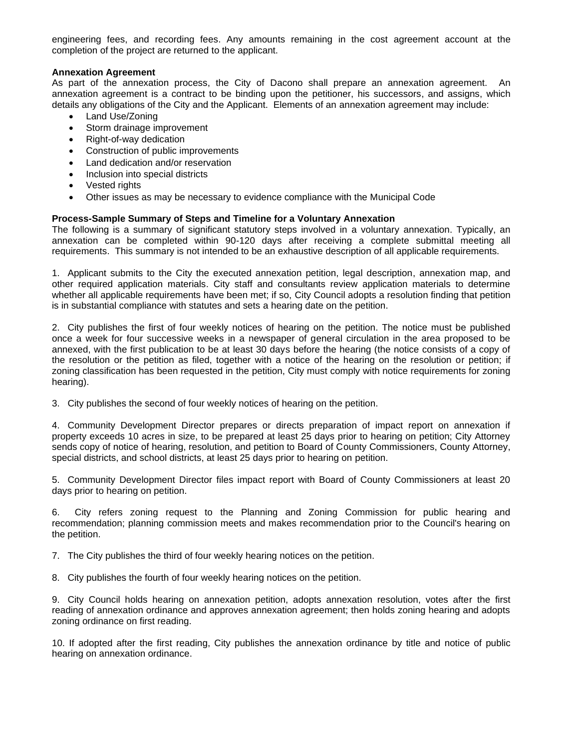engineering fees, and recording fees. Any amounts remaining in the cost agreement account at the completion of the project are returned to the applicant.

## **Annexation Agreement**

As part of the annexation process, the City of Dacono shall prepare an annexation agreement. An annexation agreement is a contract to be binding upon the petitioner, his successors, and assigns, which details any obligations of the City and the Applicant. Elements of an annexation agreement may include:

- Land Use/Zoning
- Storm drainage improvement
- Right-of-way dedication
- Construction of public improvements
- Land dedication and/or reservation
- Inclusion into special districts
- Vested rights
- Other issues as may be necessary to evidence compliance with the Municipal Code

## **Process-Sample Summary of Steps and Timeline for a Voluntary Annexation**

The following is a summary of significant statutory steps involved in a voluntary annexation. Typically, an annexation can be completed within 90-120 days after receiving a complete submittal meeting all requirements. This summary is not intended to be an exhaustive description of all applicable requirements.

1. Applicant submits to the City the executed annexation petition, legal description, annexation map, and other required application materials. City staff and consultants review application materials to determine whether all applicable requirements have been met; if so, City Council adopts a resolution finding that petition is in substantial compliance with statutes and sets a hearing date on the petition.

2. City publishes the first of four weekly notices of hearing on the petition. The notice must be published once a week for four successive weeks in a newspaper of general circulation in the area proposed to be annexed, with the first publication to be at least 30 days before the hearing (the notice consists of a copy of the resolution or the petition as filed, together with a notice of the hearing on the resolution or petition; if zoning classification has been requested in the petition, City must comply with notice requirements for zoning hearing).

3. City publishes the second of four weekly notices of hearing on the petition.

4. Community Development Director prepares or directs preparation of impact report on annexation if property exceeds 10 acres in size, to be prepared at least 25 days prior to hearing on petition; City Attorney sends copy of notice of hearing, resolution, and petition to Board of County Commissioners, County Attorney, special districts, and school districts, at least 25 days prior to hearing on petition.

5. Community Development Director files impact report with Board of County Commissioners at least 20 days prior to hearing on petition.

6. City refers zoning request to the Planning and Zoning Commission for public hearing and recommendation; planning commission meets and makes recommendation prior to the Council's hearing on the petition.

7. The City publishes the third of four weekly hearing notices on the petition.

8. City publishes the fourth of four weekly hearing notices on the petition.

9. City Council holds hearing on annexation petition, adopts annexation resolution, votes after the first reading of annexation ordinance and approves annexation agreement; then holds zoning hearing and adopts zoning ordinance on first reading.

10. If adopted after the first reading, City publishes the annexation ordinance by title and notice of public hearing on annexation ordinance.